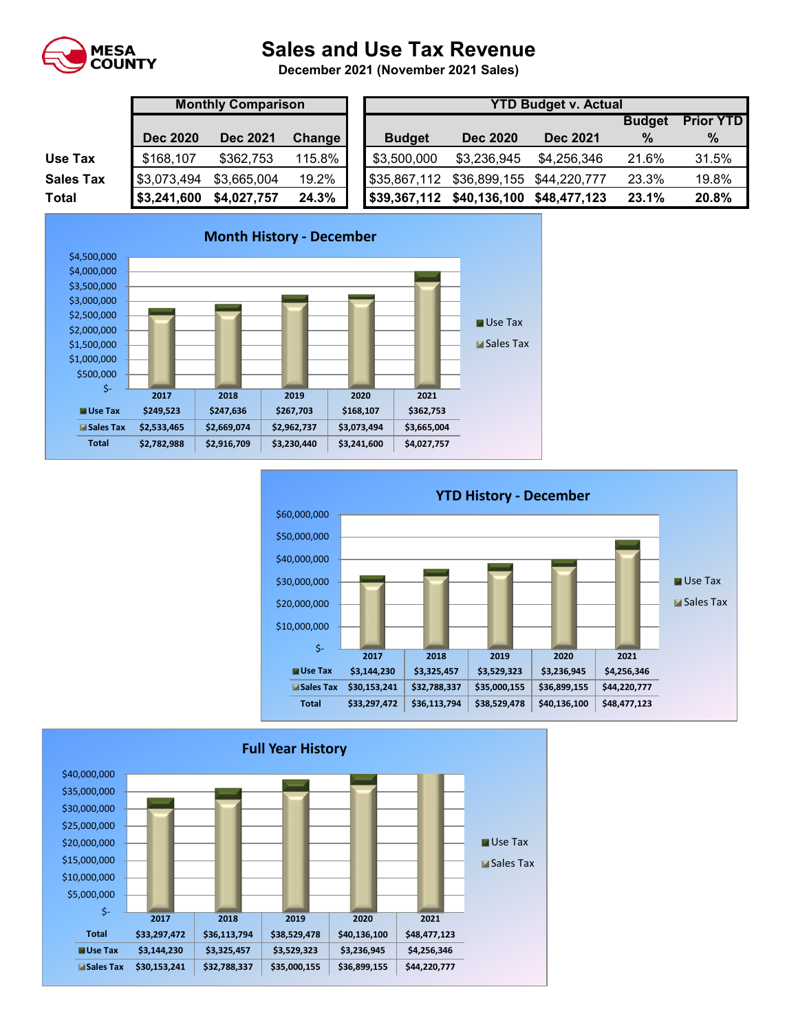

## **Sales and Use Tax Revenue**

**December 2021 (November 2021 Sales)** 

|                  | <b>Monthly Comparison</b>                           |             |        |               | <b>YTD Budget v. Actual</b> |                           |             |               |                  |  |  |  |  |
|------------------|-----------------------------------------------------|-------------|--------|---------------|-----------------------------|---------------------------|-------------|---------------|------------------|--|--|--|--|
|                  |                                                     |             |        |               |                             |                           |             | <b>Budget</b> | <b>Prior YTD</b> |  |  |  |  |
|                  | <b>Dec 2020</b><br><b>Dec 2021</b><br><b>Change</b> |             |        | <b>Budget</b> | <b>Dec 2020</b>             | <b>Dec 2021</b>           | $\%$        | %             |                  |  |  |  |  |
| Use Tax          | \$168,107                                           | \$362,753   | 115.8% |               | \$3,500,000                 | \$3,236,945               | \$4,256,346 | 21.6%         | 31.5%            |  |  |  |  |
| <b>Sales Tax</b> | \$3,073,494                                         | \$3,665,004 | 19.2%  |               | \$35,867,112                | \$36,899,155 \$44,220,777 |             | 23.3%         | 19.8%            |  |  |  |  |
| <b>Total</b>     | \$3,241,600                                         | \$4,027,757 | 24.3%  |               | \$39,367,112                | \$40,136,100 \$48,477,123 |             | 23.1%         | 20.8%            |  |  |  |  |





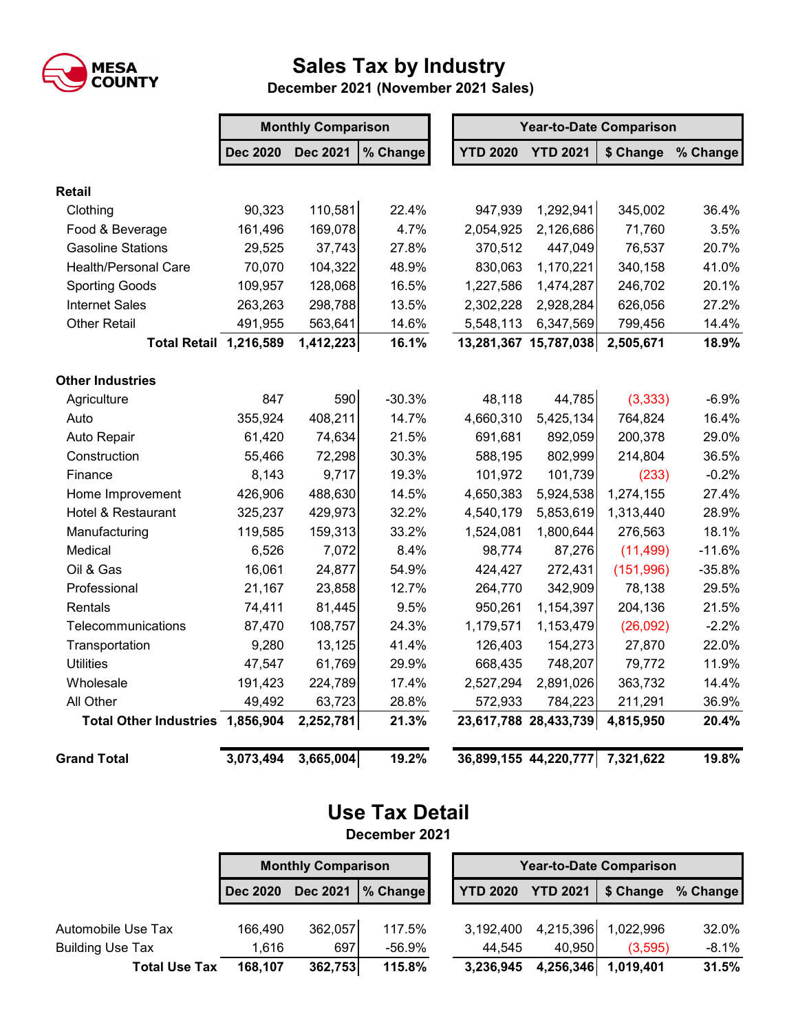

## **Sales Tax by Industry**

 **December 2021 (November 2021 Sales)**

|                                  | <b>Monthly Comparison</b> |                 |          |  | <b>Year-to-Date Comparison</b> |                       |           |          |  |  |
|----------------------------------|---------------------------|-----------------|----------|--|--------------------------------|-----------------------|-----------|----------|--|--|
|                                  | <b>Dec 2020</b>           | <b>Dec 2021</b> | % Change |  | <b>YTD 2020</b>                | <b>YTD 2021</b>       | \$ Change | % Change |  |  |
| <b>Retail</b>                    |                           |                 |          |  |                                |                       |           |          |  |  |
| Clothing                         | 90,323                    | 110,581         | 22.4%    |  | 947,939                        | 1,292,941             | 345,002   | 36.4%    |  |  |
| Food & Beverage                  | 161,496                   | 169,078         | 4.7%     |  | 2,054,925                      | 2,126,686             | 71,760    | 3.5%     |  |  |
| <b>Gasoline Stations</b>         | 29,525                    | 37,743          | 27.8%    |  | 370,512                        | 447,049               | 76,537    | 20.7%    |  |  |
| <b>Health/Personal Care</b>      | 70,070                    | 104,322         | 48.9%    |  | 830,063                        | 1,170,221             | 340,158   | 41.0%    |  |  |
| <b>Sporting Goods</b>            | 109,957                   | 128,068         | 16.5%    |  | 1,227,586                      | 1,474,287             | 246,702   | 20.1%    |  |  |
| <b>Internet Sales</b>            | 263,263                   | 298,788         | 13.5%    |  | 2,302,228                      | 2,928,284             | 626,056   | 27.2%    |  |  |
| Other Retail                     | 491,955                   | 563,641         | 14.6%    |  | 5,548,113                      | 6,347,569             | 799,456   | 14.4%    |  |  |
| <b>Total Retail 1,216,589</b>    |                           | 1,412,223       | 16.1%    |  |                                | 13,281,367 15,787,038 | 2,505,671 | 18.9%    |  |  |
| <b>Other Industries</b>          |                           |                 |          |  |                                |                       |           |          |  |  |
| Agriculture                      | 847                       | 590             | $-30.3%$ |  | 48,118                         | 44,785                | (3, 333)  | $-6.9%$  |  |  |
| Auto                             | 355,924                   | 408,211         | 14.7%    |  | 4,660,310                      | 5,425,134             | 764,824   | 16.4%    |  |  |
| Auto Repair                      | 61,420                    | 74,634          | 21.5%    |  | 691,681                        | 892,059               | 200,378   | 29.0%    |  |  |
| Construction                     | 55,466                    | 72,298          | 30.3%    |  | 588,195                        | 802,999               | 214,804   | 36.5%    |  |  |
| Finance                          | 8,143                     | 9,717           | 19.3%    |  | 101,972                        | 101,739               | (233)     | $-0.2%$  |  |  |
| Home Improvement                 | 426,906                   | 488,630         | 14.5%    |  | 4,650,383                      | 5,924,538             | 1,274,155 | 27.4%    |  |  |
| Hotel & Restaurant               | 325,237                   | 429,973         | 32.2%    |  | 4,540,179                      | 5,853,619             | 1,313,440 | 28.9%    |  |  |
| Manufacturing                    | 119,585                   | 159,313         | 33.2%    |  | 1,524,081                      | 1,800,644             | 276,563   | 18.1%    |  |  |
| Medical                          | 6,526                     | 7,072           | 8.4%     |  | 98,774                         | 87,276                | (11, 499) | $-11.6%$ |  |  |
| Oil & Gas                        | 16,061                    | 24,877          | 54.9%    |  | 424,427                        | 272,431               | (151,996) | $-35.8%$ |  |  |
| Professional                     | 21,167                    | 23,858          | 12.7%    |  | 264,770                        | 342,909               | 78,138    | 29.5%    |  |  |
| Rentals                          | 74,411                    | 81,445          | 9.5%     |  | 950,261                        | 1,154,397             | 204,136   | 21.5%    |  |  |
| Telecommunications               | 87,470                    | 108,757         | 24.3%    |  | 1,179,571                      | 1,153,479             | (26,092)  | $-2.2%$  |  |  |
| Transportation                   | 9,280                     | 13,125          | 41.4%    |  | 126,403                        | 154,273               | 27,870    | 22.0%    |  |  |
| <b>Utilities</b>                 | 47,547                    | 61,769          | 29.9%    |  | 668,435                        | 748,207               | 79,772    | 11.9%    |  |  |
| Wholesale                        | 191,423                   | 224,789         | 17.4%    |  | 2,527,294                      | 2,891,026             | 363,732   | 14.4%    |  |  |
| All Other                        | 49,492                    | 63,723          | 28.8%    |  | 572,933                        | 784,223               | 211,291   | 36.9%    |  |  |
| Total Other Industries 1,856,904 |                           | 2,252,781       | 21.3%    |  |                                | 23,617,788 28,433,739 | 4,815,950 | 20.4%    |  |  |
| <b>Grand Total</b>               | 3,073,494                 | 3,665,004       | 19.2%    |  |                                | 36,899,155 44,220,777 | 7,321,622 | 19.8%    |  |  |

## **Use Tax Detail December 2021**

|                         | <b>Monthly Comparison</b>          |         |          |  | <b>Year-to-Date Comparison</b> |                 |           |          |  |  |  |
|-------------------------|------------------------------------|---------|----------|--|--------------------------------|-----------------|-----------|----------|--|--|--|
|                         | <b>Dec 2021</b><br><b>Dec 2020</b> |         | % Change |  | <b>YTD 2020</b>                | <b>YTD 2021</b> | \$ Change | % Change |  |  |  |
|                         |                                    |         |          |  |                                |                 |           |          |  |  |  |
| Automobile Use Tax      | 166,490                            | 362,057 | 117.5%   |  | 3,192,400                      | 4,215,396       | 1,022,996 | 32.0%    |  |  |  |
| <b>Building Use Tax</b> | 1.616                              | 697     | -56.9%   |  | 44.545                         | 40.950          | (3,595)   | $-8.1%$  |  |  |  |
| <b>Total Use Tax</b>    | 168.107                            | 362,753 | 115.8%   |  | 3,236,945                      | 4,256,346       | 1,019,401 | 31.5%    |  |  |  |